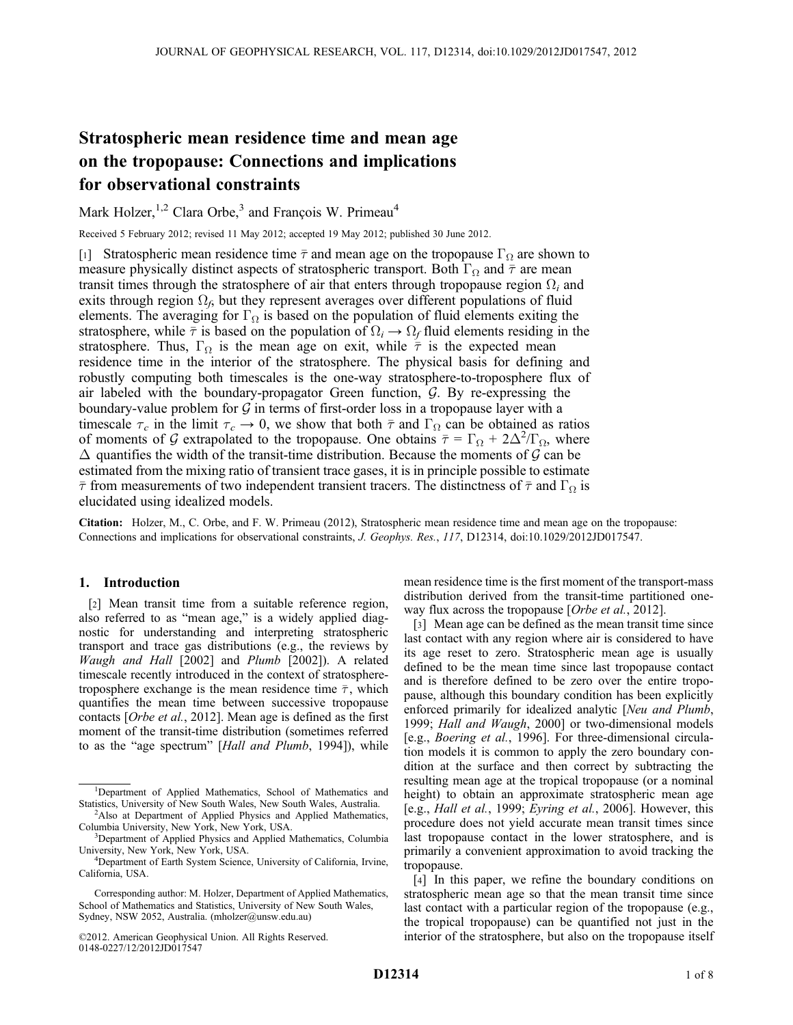# Stratospheric mean residence time and mean age on the tropopause: Connections and implications for observational constraints

Mark Holzer,<sup>1,2</sup> Clara Orbe,<sup>3</sup> and François W. Primeau<sup>4</sup>

Received 5 February 2012; revised 11 May 2012; accepted 19 May 2012; published 30 June 2012.

[1] Stratospheric mean residence time  $\bar{\tau}$  and mean age on the tropopause  $\Gamma_{\Omega}$  are shown to measure physically distinct aspects of stratospheric transport. Both  $\Gamma_{\Omega}$  and  $\bar{\tau}$  are mean transit times through the stratosphere of air that enters through tropopause region  $\Omega_i$  and exits through region  $\Omega_i$ , but they represent averages over different populations of fluid elements. The averaging for  $\Gamma_{\Omega}$  is based on the population of fluid elements exiting the stratosphere, while  $\bar{\tau}$  is based on the population of  $\Omega_i \rightarrow \Omega_f$  fluid elements residing in the stratosphere. Thus,  $\Gamma_{\Omega}$  is the mean age on exit, while  $\bar{\tau}$  is the expected mean residence time in the interior of the stratosphere. The physical basis for defining and robustly computing both timescales is the one-way stratosphere-to-troposphere flux of air labeled with the boundary-propagator Green function,  $G$ . By re-expressing the boundary-value problem for  $G$  in terms of first-order loss in a tropopause layer with a timescale  $\tau_c$  in the limit  $\tau_c \to 0$ , we show that both  $\bar{\tau}$  and  $\Gamma_\Omega$  can be obtained as ratios of moments of G extrapolated to the tropopause. One obtains  $\bar{\tau} = \Gamma_{\Omega} + 2\Delta^2/\Gamma_{\Omega}$ , where  $\Delta$  quantifies the width of the transit-time distribution. Because the moments of G can be estimated from the mixing ratio of transient trace gases, it is in principle possible to estimate  $\bar{\tau}$  from measurements of two independent transient tracers. The distinctness of  $\bar{\tau}$  and  $\Gamma_{\Omega}$  is elucidated using idealized models.

Citation: Holzer, M., C. Orbe, and F. W. Primeau (2012), Stratospheric mean residence time and mean age on the tropopause: Connections and implications for observational constraints, J. Geophys. Res., 117, D12314, doi:10.1029/2012JD017547.

# 1. Introduction

[2] Mean transit time from a suitable reference region, also referred to as "mean age," is a widely applied diagnostic for understanding and interpreting stratospheric transport and trace gas distributions (e.g., the reviews by Waugh and Hall [2002] and Plumb [2002]). A related timescale recently introduced in the context of stratospheretroposphere exchange is the mean residence time  $\bar{\tau}$ , which quantifies the mean time between successive tropopause contacts [Orbe et al., 2012]. Mean age is defined as the first moment of the transit-time distribution (sometimes referred to as the "age spectrum" [Hall and Plumb, 1994]), while mean residence time is the first moment of the transport-mass distribution derived from the transit-time partitioned oneway flux across the tropopause [Orbe et al., 2012].

[3] Mean age can be defined as the mean transit time since last contact with any region where air is considered to have its age reset to zero. Stratospheric mean age is usually defined to be the mean time since last tropopause contact and is therefore defined to be zero over the entire tropopause, although this boundary condition has been explicitly enforced primarily for idealized analytic [Neu and Plumb, 1999; Hall and Waugh, 2000] or two-dimensional models [e.g., Boering et al., 1996]. For three-dimensional circulation models it is common to apply the zero boundary condition at the surface and then correct by subtracting the resulting mean age at the tropical tropopause (or a nominal height) to obtain an approximate stratospheric mean age [e.g., Hall et al., 1999; Eyring et al., 2006]. However, this procedure does not yield accurate mean transit times since last tropopause contact in the lower stratosphere, and is primarily a convenient approximation to avoid tracking the tropopause.

[4] In this paper, we refine the boundary conditions on stratospheric mean age so that the mean transit time since last contact with a particular region of the tropopause (e.g., the tropical tropopause) can be quantified not just in the interior of the stratosphere, but also on the tropopause itself

<sup>&</sup>lt;sup>1</sup>Department of Applied Mathematics, School of Mathematics and Statistics, University of New South Wales, New South Wales, Australia. <sup>2</sup>

<sup>&</sup>lt;sup>2</sup>Also at Department of Applied Physics and Applied Mathematics, Columbia University, New York, New York, USA. <sup>3</sup>

<sup>&</sup>lt;sup>3</sup>Department of Applied Physics and Applied Mathematics, Columbia University, New York, New York, USA. <sup>4</sup>

Department of Earth System Science, University of California, Irvine, California, USA.

Corresponding author: M. Holzer, Department of Applied Mathematics, School of Mathematics and Statistics, University of New South Wales, Sydney, NSW 2052, Australia. (mholzer@unsw.edu.au)

<sup>©2012.</sup> American Geophysical Union. All Rights Reserved. 0148-0227/12/2012JD017547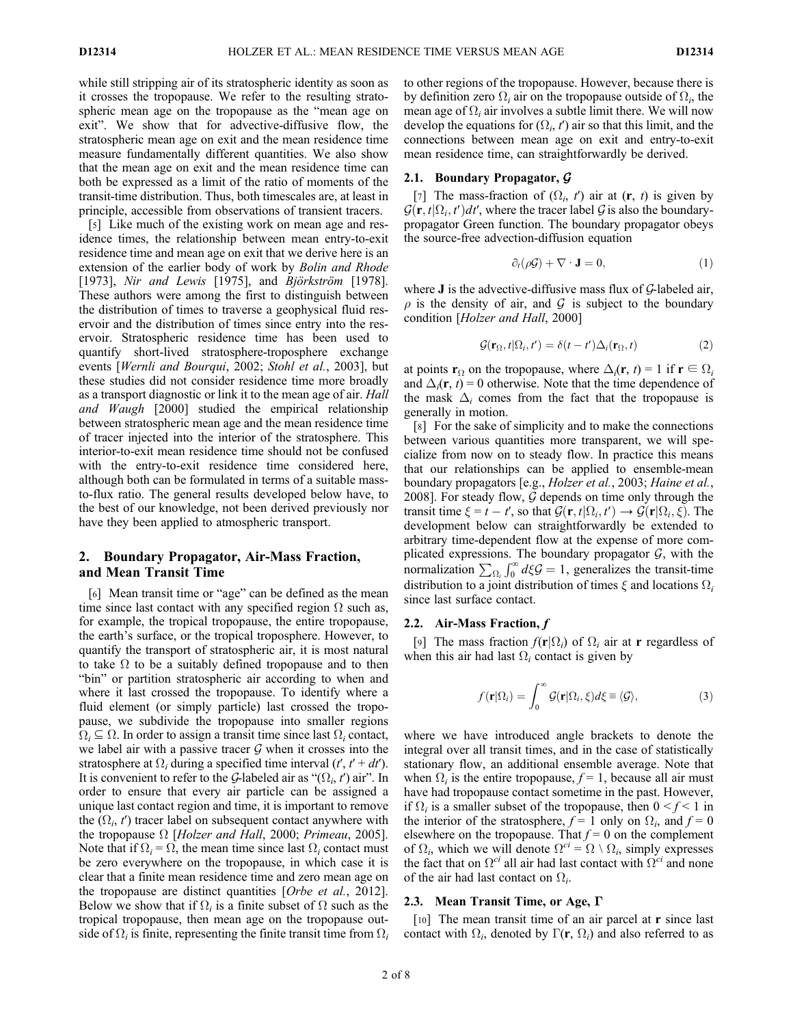while still stripping air of its stratospheric identity as soon as it crosses the tropopause. We refer to the resulting stratospheric mean age on the tropopause as the "mean age on exit". We show that for advective-diffusive flow, the stratospheric mean age on exit and the mean residence time measure fundamentally different quantities. We also show that the mean age on exit and the mean residence time can both be expressed as a limit of the ratio of moments of the transit-time distribution. Thus, both timescales are, at least in principle, accessible from observations of transient tracers.

[5] Like much of the existing work on mean age and residence times, the relationship between mean entry-to-exit residence time and mean age on exit that we derive here is an extension of the earlier body of work by Bolin and Rhode [1973], Nir and Lewis [1975], and *Björkström* [1978]. These authors were among the first to distinguish between the distribution of times to traverse a geophysical fluid reservoir and the distribution of times since entry into the reservoir. Stratospheric residence time has been used to quantify short-lived stratosphere-troposphere exchange events [Wernli and Bourqui, 2002; Stohl et al., 2003], but these studies did not consider residence time more broadly as a transport diagnostic or link it to the mean age of air. *Hall* and Waugh [2000] studied the empirical relationship between stratospheric mean age and the mean residence time of tracer injected into the interior of the stratosphere. This interior-to-exit mean residence time should not be confused with the entry-to-exit residence time considered here, although both can be formulated in terms of a suitable massto-flux ratio. The general results developed below have, to the best of our knowledge, not been derived previously nor have they been applied to atmospheric transport.

## 2. Boundary Propagator, Air-Mass Fraction, and Mean Transit Time

[6] Mean transit time or "age" can be defined as the mean time since last contact with any specified region  $\Omega$  such as, for example, the tropical tropopause, the entire tropopause, the earth's surface, or the tropical troposphere. However, to quantify the transport of stratospheric air, it is most natural to take  $\Omega$  to be a suitably defined tropopause and to then "bin" or partition stratospheric air according to when and where it last crossed the tropopause. To identify where a fluid element (or simply particle) last crossed the tropopause, we subdivide the tropopause into smaller regions  $\Omega_i \subseteq \Omega$ . In order to assign a transit time since last  $\Omega_i$  contact, we label air with a passive tracer  $G$  when it crosses into the stratosphere at  $\Omega_i$  during a specified time interval  $(t', t' + dt')$ . It is convenient to refer to the G-labeled air as " $(\Omega_i, t')$  air". In order to ensure that every air particle can be assigned a unique last contact region and time, it is important to remove the  $(\Omega_i, t')$  tracer label on subsequent contact anywhere with the tropopause  $\Omega$  [Holzer and Hall, 2000; Primeau, 2005]. Note that if  $\Omega_i = \Omega$ , the mean time since last  $\Omega_i$  contact must be zero everywhere on the tropopause, in which case it is clear that a finite mean residence time and zero mean age on the tropopause are distinct quantities [Orbe et al., 2012]. Below we show that if  $\Omega_i$  is a finite subset of  $\Omega$  such as the tropical tropopause, then mean age on the tropopause outside of  $\Omega_i$  is finite, representing the finite transit time from  $\Omega_i$  to other regions of the tropopause. However, because there is by definition zero  $\Omega_i$  air on the tropopause outside of  $\Omega_i$ , the mean age of  $\Omega_i$  air involves a subtle limit there. We will now develop the equations for  $(\Omega_i, t')$  air so that this limit, and the connections between mean age on exit and entry-to-exit mean residence time, can straightforwardly be derived.

## 2.1. Boundary Propagator, G

[7] The mass-fraction of  $(\Omega_i, t')$  air at  $(r, t)$  is given by  $\mathcal{G}(\mathbf{r}, t | \Omega_i, t') dt'$ , where the tracer label  $\mathcal{G}$  is also the boundarypropagator Green function. The boundary propagator obeys the source-free advection-diffusion equation

$$
\partial_t(\rho \mathcal{G}) + \nabla \cdot \mathbf{J} = 0, \qquad (1)
$$

where **J** is the advective-diffusive mass flux of  $G$ -labeled air,  $\rho$  is the density of air, and  $\mathcal G$  is subject to the boundary condition [Holzer and Hall, 2000]

$$
\mathcal{G}(\mathbf{r}_{\Omega}, t | \Omega_i, t') = \delta(t - t') \Delta_i(\mathbf{r}_{\Omega}, t)
$$
 (2)

at points  $\mathbf{r}_{\Omega}$  on the tropopause, where  $\Delta_i(\mathbf{r}, t) = 1$  if  $\mathbf{r} \in \Omega_i$ and  $\Delta_i(\mathbf{r}, t) = 0$  otherwise. Note that the time dependence of the mask  $\Delta_i$  comes from the fact that the tropopause is generally in motion.

[8] For the sake of simplicity and to make the connections between various quantities more transparent, we will specialize from now on to steady flow. In practice this means that our relationships can be applied to ensemble-mean boundary propagators [e.g., Holzer et al., 2003; Haine et al., 2008]. For steady flow,  $G$  depends on time only through the transit time  $\xi = t - t'$ , so that  $\mathcal{G}(\mathbf{r}, t | \Omega_i, t') \to \mathcal{G}(\mathbf{r} | \Omega_i, \xi)$ . The development below can straightforwardly be extended to arbitrary time-dependent flow at the expense of more complicated expressions. The boundary propagator  $G$ , with the normalization  $\sum_{\Omega_i} \int_0^{\infty} d\xi \mathcal{G} = 1$ , generalizes the transit-time distribution to a joint distribution of times  $\xi$  and locations  $\Omega_i$ since last surface contact.

#### 2.2. Air-Mass Fraction,  $f$

[9] The mass fraction  $f(\mathbf{r}|\Omega_i)$  of  $\Omega_i$  air at **r** regardless of when this air had last  $\Omega_i$  contact is given by

$$
f(\mathbf{r}|\Omega_i) = \int_0^\infty \mathcal{G}(\mathbf{r}|\Omega_i, \xi) d\xi \equiv \langle \mathcal{G} \rangle, \tag{3}
$$

where we have introduced angle brackets to denote the integral over all transit times, and in the case of statistically stationary flow, an additional ensemble average. Note that when  $\Omega_i$  is the entire tropopause,  $f = 1$ , because all air must have had tropopause contact sometime in the past. However, if  $\Omega_i$  is a smaller subset of the tropopause, then  $0 \le f \le 1$  in the interior of the stratosphere,  $f = 1$  only on  $\Omega_i$ , and  $f = 0$ elsewhere on the tropopause. That  $f = 0$  on the complement of  $\Omega_i$ , which we will denote  $\Omega^{ci} = \Omega \setminus \Omega_i$ , simply expresses the fact that on  $\Omega^{ci}$  all air had last contact with  $\Omega^{ci}$  and none of the air had last contact on  $\Omega_i$ .

## 2.3. Mean Transit Time, or Age,  $\Gamma$

[10] The mean transit time of an air parcel at **r** since last contact with  $\Omega_i$ , denoted by  $\Gamma(\mathbf{r}, \Omega_i)$  and also referred to as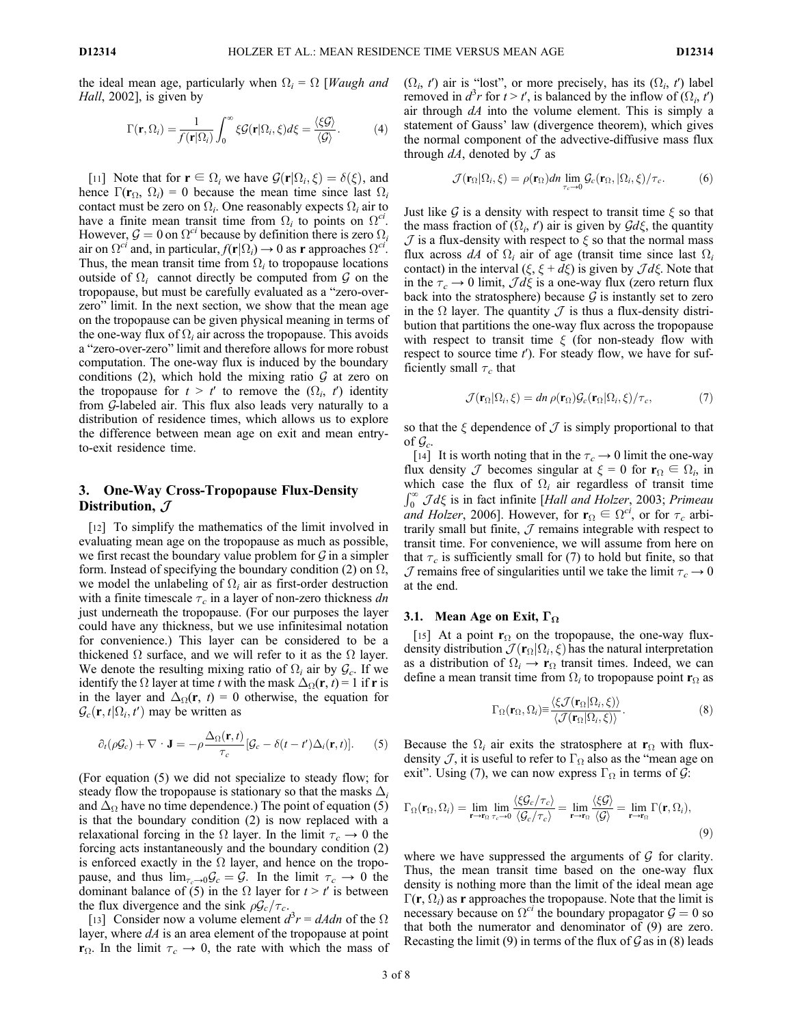the ideal mean age, particularly when  $\Omega_i = \Omega$  [*Waugh and* Hall, 2002], is given by

$$
\Gamma(\mathbf{r},\Omega_i) = \frac{1}{f(\mathbf{r}|\Omega_i)} \int_0^\infty \xi \mathcal{G}(\mathbf{r}|\Omega_i,\xi) d\xi = \frac{\langle \xi \mathcal{G} \rangle}{\langle \mathcal{G} \rangle}.
$$
 (4)

[11] Note that for  $\mathbf{r} \in \Omega_i$  we have  $\mathcal{G}(\mathbf{r}|\Omega_i,\xi) = \delta(\xi)$ , and hence  $\Gamma(\mathbf{r}_{\Omega}, \Omega_i) = 0$  because the mean time since last  $\Omega_i$ contact must be zero on  $\Omega_i$ . One reasonably expects  $\Omega_i$  air to have a finite mean transit time from  $\Omega_i$  to points on  $\Omega^{ci}$ . However,  $\mathcal{G} = 0$  on  $\Omega^{c}$  because by definition there is zero  $\Omega_i$ air on  $\Omega^{ci}$  and, in particular,  $f(\mathbf{r}|\Omega_i) \to 0$  as **r** approaches  $\Omega^{ci}$ . Thus, the mean transit time from  $\Omega_i$  to tropopause locations outside of  $\Omega_i$  cannot directly be computed from  $\mathcal G$  on the tropopause, but must be carefully evaluated as a "zero-overzero" limit. In the next section, we show that the mean age on the tropopause can be given physical meaning in terms of the one-way flux of  $\Omega_i$  air across the tropopause. This avoids a "zero-over-zero" limit and therefore allows for more robust computation. The one-way flux is induced by the boundary conditions (2), which hold the mixing ratio  $G$  at zero on the tropopause for  $t > t'$  to remove the  $(\Omega_i, t')$  identity from G-labeled air. This flux also leads very naturally to a distribution of residence times, which allows us to explore the difference between mean age on exit and mean entryto-exit residence time.

# 3. One-Way Cross-Tropopause Flux-Density Distribution,  $J$

[12] To simplify the mathematics of the limit involved in evaluating mean age on the tropopause as much as possible, we first recast the boundary value problem for  $G$  in a simpler form. Instead of specifying the boundary condition (2) on  $\Omega$ , we model the unlabeling of  $\Omega_i$  air as first-order destruction with a finite timescale  $\tau_c$  in a layer of non-zero thickness dn just underneath the tropopause. (For our purposes the layer could have any thickness, but we use infinitesimal notation for convenience.) This layer can be considered to be a thickened  $\Omega$  surface, and we will refer to it as the  $\Omega$  layer. We denote the resulting mixing ratio of  $\Omega_i$  air by  $\mathcal{G}_c$ . If we identify the  $\Omega$  layer at time t with the mask  $\Delta_{\Omega}(\mathbf{r}, t) = 1$  if r is in the layer and  $\Delta_{\Omega}(\mathbf{r}, t) = 0$  otherwise, the equation for  $\mathcal{G}_c(\mathbf{r}, t | \Omega_i, t')$  may be written as

$$
\partial_t(\rho \mathcal{G}_c) + \nabla \cdot \mathbf{J} = -\rho \frac{\Delta_{\Omega}(\mathbf{r},t)}{\tau_c} [\mathcal{G}_c - \delta(t-t')\Delta_i(\mathbf{r},t)]. \tag{5}
$$

(For equation (5) we did not specialize to steady flow; for steady flow the tropopause is stationary so that the masks  $\Delta_i$ and  $\Delta_{\Omega}$  have no time dependence.) The point of equation (5) is that the boundary condition (2) is now replaced with a relaxational forcing in the  $\Omega$  layer. In the limit  $\tau_c \rightarrow 0$  the forcing acts instantaneously and the boundary condition (2) is enforced exactly in the  $\Omega$  layer, and hence on the tropopause, and thus  $\lim_{\tau_c\to 0} \mathcal{G}_c = \mathcal{G}$ . In the limit  $\tau_c \to 0$  the dominant balance of (5) in the  $\Omega$  layer for  $t > t'$  is between the flux divergence and the sink  $\rho \mathcal{G}_c/\tau_c$ .

[13] Consider now a volume element  $d^3r = dAdn$  of the  $\Omega$ layer, where  $dA$  is an area element of the tropopause at point  $\mathbf{r}_{\Omega}$ . In the limit  $\tau_c \to 0$ , the rate with which the mass of  $(\Omega_i, t')$  air is "lost", or more precisely, has its  $(\Omega_i, t')$  label removed in  $d^3r$  for  $t > t'$ , is balanced by the inflow of  $(\Omega_i, t')$ air through  $dA$  into the volume element. This is simply a statement of Gauss' law (divergence theorem), which gives the normal component of the advective-diffusive mass flux through  $dA$ , denoted by  $\mathcal J$  as

$$
\mathcal{J}(\mathbf{r}_{\Omega}|\Omega_i,\xi) = \rho(\mathbf{r}_{\Omega})dn \lim_{\tau_c \to 0} \mathcal{G}_c(\mathbf{r}_{\Omega},|\Omega_i,\xi)/\tau_c.
$$
 (6)

Just like  $\mathcal G$  is a density with respect to transit time  $\xi$  so that the mass fraction of  $(\Omega_i, t')$  air is given by  $\mathcal{G}d\xi$ , the quantity  $J$  is a flux-density with respect to  $\xi$  so that the normal mass flux across dA of  $\Omega_i$  air of age (transit time since last  $\Omega_i$ contact) in the interval  $(\xi, \xi + d\xi)$  is given by  $\mathcal{J}d\xi$ . Note that in the  $\tau_c \rightarrow 0$  limit,  $\mathcal{J} d\xi$  is a one-way flux (zero return flux back into the stratosphere) because  $G$  is instantly set to zero in the  $\Omega$  layer. The quantity  $\mathcal J$  is thus a flux-density distribution that partitions the one-way flux across the tropopause with respect to transit time  $\xi$  (for non-steady flow with respect to source time  $t'$ ). For steady flow, we have for sufficiently small  $\tau_c$  that

$$
\mathcal{J}(\mathbf{r}_{\Omega}|\Omega_i,\xi) = dn \,\rho(\mathbf{r}_{\Omega})\mathcal{G}_c(\mathbf{r}_{\Omega}|\Omega_i,\xi)/\tau_c,\tag{7}
$$

so that the  $\xi$  dependence of  $\mathcal J$  is simply proportional to that of  $\mathcal{G}_c$ .

[14] It is worth noting that in the  $\tau_c \rightarrow 0$  limit the one-way flux density  $\mathcal J$  becomes singular at  $\xi = 0$  for  $\mathbf{r}_{\Omega} \in \Omega_i$ , in which case the flux of  $\Omega_i$  air regardless of transit time  $\int_0^{\infty}$  Jd $\xi$  is in fact infinite [Hall and Holzer, 2003; Primeau and Holzer, 2006]. However, for  $\mathbf{r}_{\Omega} \in \Omega^{ci}$ , or for  $\tau_c$  arbitrarily small but finite,  $J$  remains integrable with respect to transit time. For convenience, we will assume from here on that  $\tau_c$  is sufficiently small for (7) to hold but finite, so that  $J$  remains free of singularities until we take the limit  $\tau_c \rightarrow 0$ at the end.

#### 3.1. Mean Age on Exit,  $\Gamma_{\Omega}$

[15] At a point  $\mathbf{r}_{\Omega}$  on the tropopause, the one-way fluxdensity distribution  $\mathcal{J}(\mathbf{r}_{\Omega}|\Omega_i,\xi)$  has the natural interpretation as a distribution of  $\Omega_i \rightarrow \mathbf{r}_{\Omega}$  transit times. Indeed, we can define a mean transit time from  $\Omega_i$  to tropopause point  $\mathbf{r}_{\Omega}$  as

$$
\Gamma_{\Omega}(\mathbf{r}_{\Omega},\Omega_{i})\equiv\frac{\langle\xi\mathcal{J}(\mathbf{r}_{\Omega}|\Omega_{i},\xi)\rangle}{\langle\mathcal{J}(\mathbf{r}_{\Omega}|\Omega_{i},\xi)\rangle}.
$$
\n(8)

Because the  $\Omega_i$  air exits the stratosphere at  $\mathbf{r}_{\Omega}$  with fluxdensity  $\mathcal{J}$ , it is useful to refer to  $\Gamma_{\Omega}$  also as the "mean age on exit". Using (7), we can now express  $\Gamma_{\Omega}$  in terms of  $\mathcal{G}$ :

$$
\Gamma_{\Omega}(\mathbf{r}_{\Omega},\Omega_{i}) = \lim_{\mathbf{r}\to\mathbf{r}_{\Omega}}\lim_{\tau_{c}\to 0}\frac{\langle\xi\mathcal{G}_{c}/\tau_{c}\rangle}{\langle\mathcal{G}_{c}/\tau_{c}\rangle} = \lim_{\mathbf{r}\to\mathbf{r}_{\Omega}}\frac{\langle\xi\mathcal{G}\rangle}{\langle\mathcal{G}\rangle} = \lim_{\mathbf{r}\to\mathbf{r}_{\Omega}}\Gamma(\mathbf{r},\Omega_{i}),
$$
\n(9)

where we have suppressed the arguments of  $\mathcal G$  for clarity. Thus, the mean transit time based on the one-way flux density is nothing more than the limit of the ideal mean age  $\Gamma(\mathbf{r}, \Omega_i)$  as **r** approaches the tropopause. Note that the limit is necessary because on  $\Omega^{ci}$  the boundary propagator  $\mathcal{G} = 0$  so that both the numerator and denominator of (9) are zero. Recasting the limit (9) in terms of the flux of  $\mathcal G$  as in (8) leads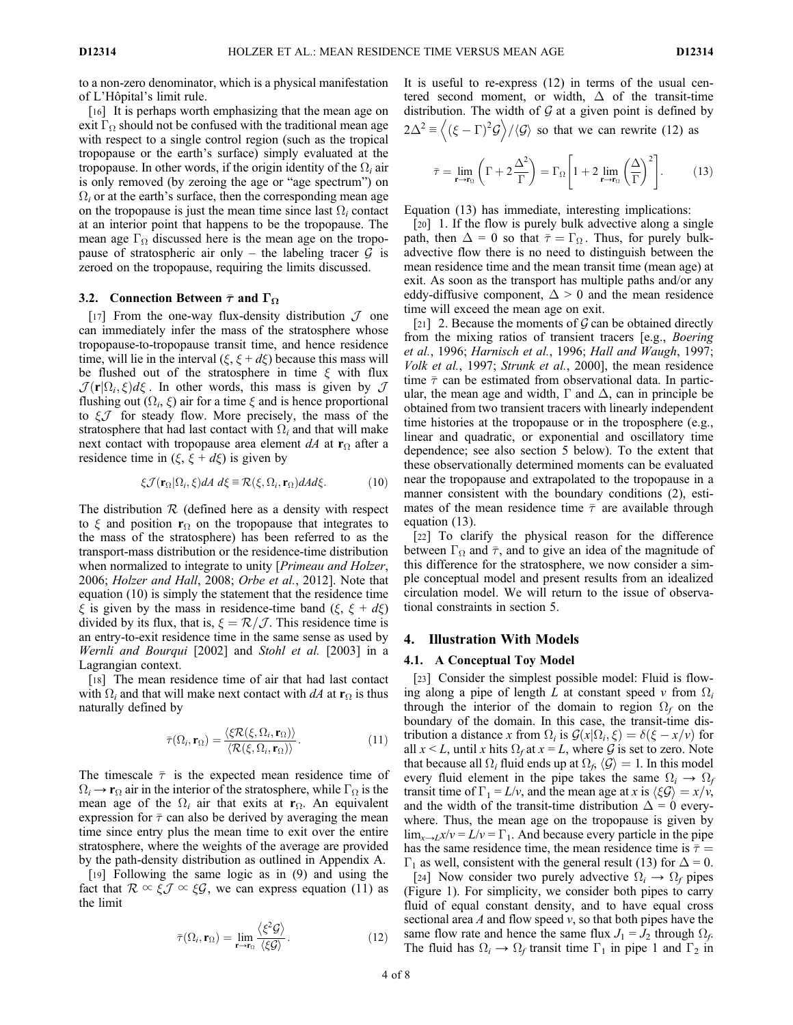to a non-zero denominator, which is a physical manifestation of L'Hôpital's limit rule.

[16] It is perhaps worth emphasizing that the mean age on exit  $\Gamma_{\Omega}$  should not be confused with the traditional mean age with respect to a single control region (such as the tropical tropopause or the earth's surface) simply evaluated at the tropopause. In other words, if the origin identity of the  $\Omega_i$  air is only removed (by zeroing the age or "age spectrum") on  $\Omega_i$  or at the earth's surface, then the corresponding mean age on the tropopause is just the mean time since last  $\Omega_i$  contact at an interior point that happens to be the tropopause. The mean age  $\Gamma_{\Omega}$  discussed here is the mean age on the tropopause of stratospheric air only – the labeling tracer  $G$  is zeroed on the tropopause, requiring the limits discussed.

## 3.2. Connection Between  $\bar{\tau}$  and  $\Gamma_{\Omega}$

[17] From the one-way flux-density distribution  $\mathcal J$  one can immediately infer the mass of the stratosphere whose tropopause-to-tropopause transit time, and hence residence time, will lie in the interval  $(\xi, \xi + d\xi)$  because this mass will be flushed out of the stratosphere in time  $\xi$  with flux  $\mathcal{J}(\mathbf{r}|\Omega_i,\xi)d\xi$ . In other words, this mass is given by  $\mathcal{J}$ flushing out  $(\Omega_i, \xi)$  air for a time  $\xi$  and is hence proportional to  $\xi$  for steady flow. More precisely, the mass of the stratosphere that had last contact with  $\Omega_i$  and that will make next contact with tropopause area element  $dA$  at  $\mathbf{r}_{\Omega}$  after a residence time in  $(\xi, \xi + d\xi)$  is given by

$$
\xi \mathcal{J}(\mathbf{r}_{\Omega}|\Omega_i,\xi) dA \ d\xi \equiv \mathcal{R}(\xi,\Omega_i,\mathbf{r}_{\Omega}) dA d\xi. \tag{10}
$$

The distribution  $\mathcal R$  (defined here as a density with respect to  $\xi$  and position  $r_{\Omega}$  on the tropopause that integrates to the mass of the stratosphere) has been referred to as the transport-mass distribution or the residence-time distribution when normalized to integrate to unity [*Primeau and Holzer*, 2006; Holzer and Hall, 2008; Orbe et al., 2012]. Note that equation (10) is simply the statement that the residence time  $\xi$  is given by the mass in residence-time band  $(\xi, \xi + d\xi)$ divided by its flux, that is,  $\xi = \mathcal{R}/\mathcal{J}$ . This residence time is an entry-to-exit residence time in the same sense as used by Wernli and Bourqui [2002] and Stohl et al. [2003] in a Lagrangian context.

[18] The mean residence time of air that had last contact with  $\Omega_i$  and that will make next contact with dA at  $\mathbf{r}_{\Omega}$  is thus naturally defined by

$$
\bar{\tau}(\Omega_i, \mathbf{r}_{\Omega}) = \frac{\langle \xi \mathcal{R}(\xi, \Omega_i, \mathbf{r}_{\Omega}) \rangle}{\langle \mathcal{R}(\xi, \Omega_i, \mathbf{r}_{\Omega}) \rangle}.
$$
(11)

The timescale  $\bar{\tau}$  is the expected mean residence time of  $\Omega_i \rightarrow \mathbf{r}_{\Omega}$  air in the interior of the stratosphere, while  $\Gamma_{\Omega}$  is the mean age of the  $\Omega_i$  air that exits at  $r_{\Omega}$ . An equivalent expression for  $\bar{\tau}$  can also be derived by averaging the mean time since entry plus the mean time to exit over the entire stratosphere, where the weights of the average are provided by the path-density distribution as outlined in Appendix A.

[19] Following the same logic as in (9) and using the fact that  $\mathcal{R} \propto \xi \mathcal{J} \propto \xi \mathcal{G}$ , we can express equation (11) as the limit

$$
\bar{\tau}(\Omega_i, \mathbf{r}_{\Omega}) = \lim_{\mathbf{r} \to \mathbf{r}_{\Omega}} \frac{\langle \xi^2 \mathcal{G} \rangle}{\langle \xi \mathcal{G} \rangle}.
$$
 (12)

It is useful to re-express (12) in terms of the usual centered second moment, or width,  $\Delta$  of the transit-time distribution. The width of  $G$  at a given point is defined by  $2\Delta^2 = \langle (\xi - \Gamma)^2 G \rangle / \langle G \rangle$  so that we can rewrite (12) as

$$
\bar{\tau} = \lim_{\mathbf{r} \to \mathbf{r}_\Omega} \left( \Gamma + 2 \frac{\Delta^2}{\Gamma} \right) = \Gamma_\Omega \left[ 1 + 2 \lim_{\mathbf{r} \to \mathbf{r}_\Omega} \left( \frac{\Delta}{\Gamma} \right)^2 \right]. \tag{13}
$$

Equation (13) has immediate, interesting implications:

[20] 1. If the flow is purely bulk advective along a single path, then  $\Delta = 0$  so that  $\bar{\tau} = \Gamma_{\Omega}$ . Thus, for purely bulkadvective flow there is no need to distinguish between the mean residence time and the mean transit time (mean age) at exit. As soon as the transport has multiple paths and/or any eddy-diffusive component,  $\Delta > 0$  and the mean residence time will exceed the mean age on exit.

[21] 2. Because the moments of  $\mathcal G$  can be obtained directly from the mixing ratios of transient tracers [e.g., Boering et al., 1996; Harnisch et al., 1996; Hall and Waugh, 1997; Volk et al., 1997; Strunk et al., 2000], the mean residence time  $\bar{\tau}$  can be estimated from observational data. In particular, the mean age and width,  $\Gamma$  and  $\Delta$ , can in principle be obtained from two transient tracers with linearly independent time histories at the tropopause or in the troposphere (e.g., linear and quadratic, or exponential and oscillatory time dependence; see also section 5 below). To the extent that these observationally determined moments can be evaluated near the tropopause and extrapolated to the tropopause in a manner consistent with the boundary conditions (2), estimates of the mean residence time  $\bar{\tau}$  are available through equation (13).

[22] To clarify the physical reason for the difference between  $\Gamma_{\Omega}$  and  $\bar{\tau}$ , and to give an idea of the magnitude of this difference for the stratosphere, we now consider a simple conceptual model and present results from an idealized circulation model. We will return to the issue of observational constraints in section 5.

## 4. Illustration With Models

#### 4.1. A Conceptual Toy Model

[23] Consider the simplest possible model: Fluid is flowing along a pipe of length L at constant speed v from  $\Omega_i$ through the interior of the domain to region  $\Omega_f$  on the boundary of the domain. In this case, the transit-time distribution a distance x from  $\Omega_i$  is  $\mathcal{G}(x|\Omega_i, \xi) = \delta(\xi - x/v)$  for all  $x \leq L$ , until x hits  $\Omega_f$  at  $x = L$ , where G is set to zero. Note that because all  $\Omega_i$  fluid ends up at  $\Omega_f$ ,  $\langle \mathcal{G} \rangle = 1$ . In this model every fluid element in the pipe takes the same  $\Omega_i \rightarrow \Omega_f$ transit time of  $\Gamma_1 = L/v$ , and the mean age at x is  $\langle \xi \mathcal{G} \rangle = x/v$ , and the width of the transit-time distribution  $\Delta = 0$  everywhere. Thus, the mean age on the tropopause is given by  $\lim_{x\to L}x/v = L/v = \Gamma_1$ . And because every particle in the pipe has the same residence time, the mean residence time is  $\bar{\tau}$  =  $\Gamma_1$  as well, consistent with the general result (13) for  $\Delta = 0$ .

[24] Now consider two purely advective  $\Omega_i \rightarrow \Omega_f$  pipes (Figure 1). For simplicity, we consider both pipes to carry fluid of equal constant density, and to have equal cross sectional area  $A$  and flow speed  $v$ , so that both pipes have the same flow rate and hence the same flux  $J_1 = J_2$  through  $\Omega_f$ . The fluid has  $\Omega_i \rightarrow \Omega_f$  transit time  $\Gamma_1$  in pipe 1 and  $\Gamma_2$  in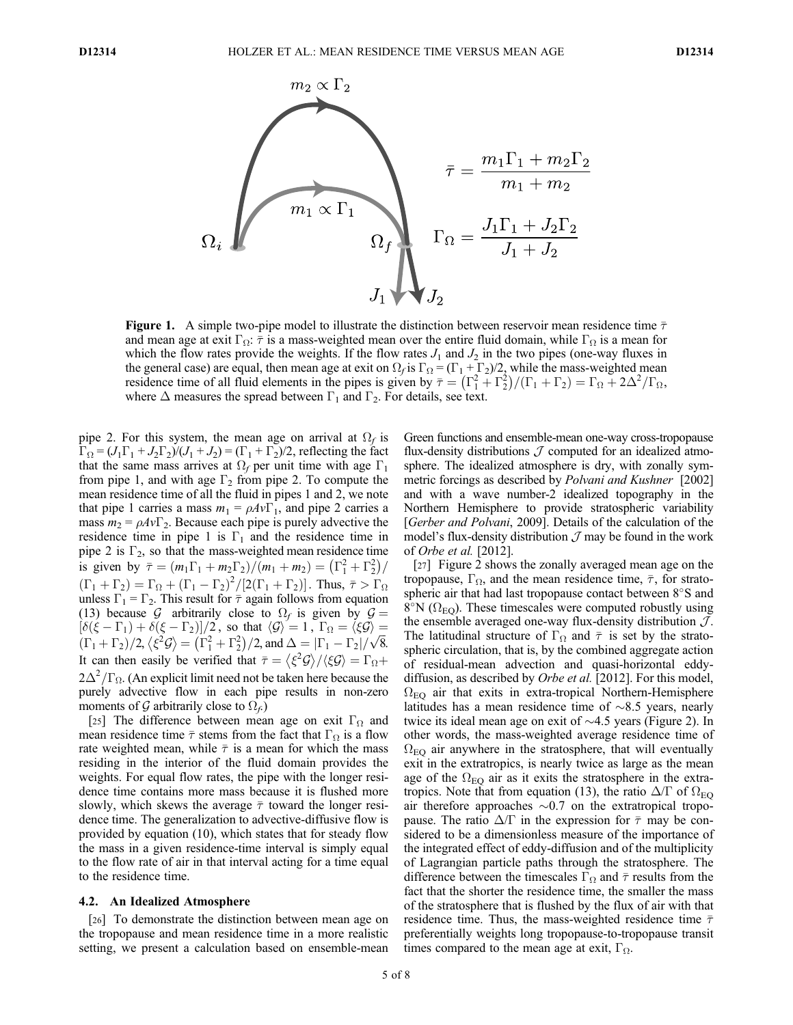

**Figure 1.** A simple two-pipe model to illustrate the distinction between reservoir mean residence time  $\bar{\tau}$ and mean age at exit  $\Gamma_{\Omega}$ :  $\bar{\tau}$  is a mass-weighted mean over the entire fluid domain, while  $\Gamma_{\Omega}$  is a mean for which the flow rates provide the weights. If the flow rates  $J_1$  and  $J_2$  in the two pipes (one-way fluxes in the general case) are equal, then mean age at exit on  $\Omega_f$  is  $\Gamma_\Omega = (\Gamma_1 + \Gamma_2)/2$ , while the mass-weighted mean residence time of all fluid elements in the pipes is given by  $\bar{\tau} = (\Gamma_1^2 + \Gamma_2^2)/(\Gamma_1 + \Gamma_2) = \Gamma_{\Omega} + 2\Delta^2/\Gamma_{\Omega}$ , where  $\Delta$  measures the spread between  $\Gamma_1$  and  $\Gamma_2$ . For details, see text.

pipe 2. For this system, the mean age on arrival at  $\Omega_f$  is  $\Gamma_{\Omega} = (J_1\Gamma_1 + J_2\Gamma_2)/(J_1 + J_2) = (\Gamma_1 + \Gamma_2)/2$ , reflecting the fact that the same mass arrives at  $\Omega_f$  per unit time with age  $\Gamma_1$ from pipe 1, and with age  $\Gamma_2$  from pipe 2. To compute the mean residence time of all the fluid in pipes 1 and 2, we note that pipe 1 carries a mass  $m_1 = \rho A v \Gamma_1$ , and pipe 2 carries a mass  $m_2 = \rho A v \Gamma_2$ . Because each pipe is purely advective the residence time in pipe 1 is  $\Gamma_1$  and the residence time in pipe 2 is  $\Gamma_2$ , so that the mass-weighted mean residence time is given by  $\bar{\tau} = (m_1 \Gamma_1 + m_2 \Gamma_2) / (m_1 + m_2) = (\Gamma_1^2 + \Gamma_2^2) / (\Gamma_1^2 + \Gamma_2^2)$  $(\Gamma_1 + \Gamma_2) = \Gamma_{\Omega} + (\Gamma_1 - \Gamma_2)^2/[2(\Gamma_1 + \Gamma_2)].$  Thus,  $\bar{\tau} > \Gamma_{\Omega}$ unless  $\Gamma_1 = \Gamma_2$ . This result for  $\bar{\tau}$  again follows from equation (13) because G arbitrarily close to  $\Omega_f$  is given by  $\mathcal{G} =$  $\left[\delta(\xi - \Gamma_1) + \delta(\xi - \Gamma_2)\right]/2$ , so that  $\langle \mathcal{G} \rangle = 1$ ,  $\Gamma_{\Omega} = \langle \xi \mathcal{G} \rangle =$  $(\Gamma_1 + \Gamma_2)/2$ ,  $\langle \xi^2 \mathcal{G} \rangle = (\Gamma_1^2 + \Gamma_2^2)/2$ , and  $\Delta = |\Gamma_1 - \Gamma_2| / \sqrt{8}$ . It can then easily be verified that  $\bar{\tau} = \langle \xi^2 \mathcal{G} \rangle / \langle \xi \mathcal{G} \rangle = \Gamma_{\Omega} +$  $2\Delta^2/\Gamma_{\Omega}$ . (An explicit limit need not be taken here because the purely advective flow in each pipe results in non-zero moments of G arbitrarily close to  $\Omega_f$ .

[25] The difference between mean age on exit  $\Gamma_{\Omega}$  and mean residence time  $\bar{\tau}$  stems from the fact that  $\Gamma_{\Omega}$  is a flow rate weighted mean, while  $\bar{\tau}$  is a mean for which the mass residing in the interior of the fluid domain provides the weights. For equal flow rates, the pipe with the longer residence time contains more mass because it is flushed more slowly, which skews the average  $\bar{\tau}$  toward the longer residence time. The generalization to advective-diffusive flow is provided by equation (10), which states that for steady flow the mass in a given residence-time interval is simply equal to the flow rate of air in that interval acting for a time equal to the residence time.

## 4.2. An Idealized Atmosphere

[26] To demonstrate the distinction between mean age on the tropopause and mean residence time in a more realistic setting, we present a calculation based on ensemble-mean Green functions and ensemble-mean one-way cross-tropopause flux-density distributions  $\mathcal J$  computed for an idealized atmosphere. The idealized atmosphere is dry, with zonally symmetric forcings as described by Polvani and Kushner [2002] and with a wave number-2 idealized topography in the Northern Hemisphere to provide stratospheric variability [Gerber and Polvani, 2009]. Details of the calculation of the model's flux-density distribution  $\mathcal J$  may be found in the work of Orbe et al. [2012].

[27] Figure 2 shows the zonally averaged mean age on the tropopause,  $\Gamma_{\Omega}$ , and the mean residence time,  $\bar{\tau}$ , for stratospheric air that had last tropopause contact between  $8^{\circ}$ S and  $8^\circ$ N ( $\Omega_{\text{EO}}$ ). These timescales were computed robustly using the ensemble averaged one-way flux-density distribution  $J$ . The latitudinal structure of  $\Gamma_{\Omega}$  and  $\bar{\tau}$  is set by the stratospheric circulation, that is, by the combined aggregate action of residual-mean advection and quasi-horizontal eddydiffusion, as described by *Orbe et al.* [2012]. For this model,  $\Omega_{\text{EO}}$  air that exits in extra-tropical Northern-Hemisphere latitudes has a mean residence time of  $\sim 8.5$  years, nearly twice its ideal mean age on exit of  $\sim$ 4.5 years (Figure 2). In other words, the mass-weighted average residence time of  $\Omega_{\text{EO}}$  air anywhere in the stratosphere, that will eventually exit in the extratropics, is nearly twice as large as the mean age of the  $\Omega_{\text{EO}}$  air as it exits the stratosphere in the extratropics. Note that from equation (13), the ratio  $\Delta/\Gamma$  of  $\Omega_{\text{EO}}$ air therefore approaches  $\sim 0.7$  on the extratropical tropopause. The ratio  $\Delta/\Gamma$  in the expression for  $\bar{\tau}$  may be considered to be a dimensionless measure of the importance of the integrated effect of eddy-diffusion and of the multiplicity of Lagrangian particle paths through the stratosphere. The difference between the timescales  $\Gamma_{\Omega}$  and  $\bar{\tau}$  results from the fact that the shorter the residence time, the smaller the mass of the stratosphere that is flushed by the flux of air with that residence time. Thus, the mass-weighted residence time  $\bar{\tau}$ preferentially weights long tropopause-to-tropopause transit times compared to the mean age at exit,  $\Gamma_{\Omega}$ .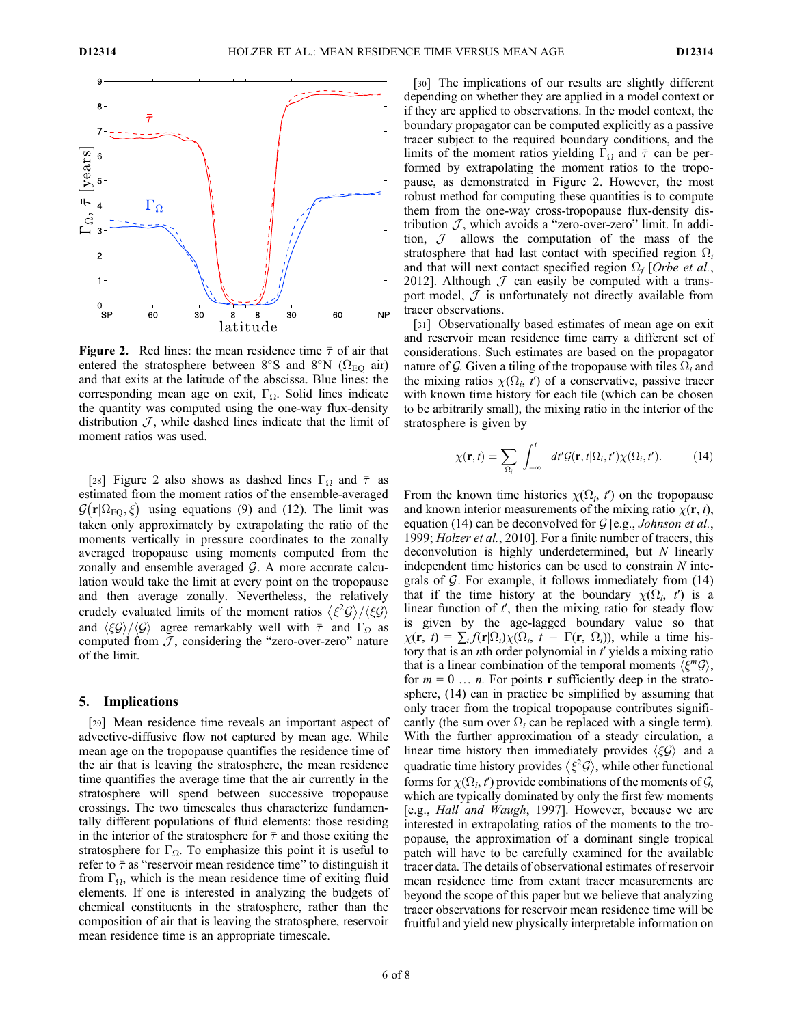

**Figure 2.** Red lines: the mean residence time  $\bar{\tau}$  of air that entered the stratosphere between 8°S and 8°N ( $\Omega_{\text{EO}}$  air) and that exits at the latitude of the abscissa. Blue lines: the corresponding mean age on exit,  $\Gamma_{\Omega}$ . Solid lines indicate the quantity was computed using the one-way flux-density distribution  $J$ , while dashed lines indicate that the limit of moment ratios was used.

[28] Figure 2 also shows as dashed lines  $\Gamma_{\Omega}$  and  $\bar{\tau}$  as estimated from the moment ratios of the ensemble-averaged  $\mathcal{G}(\mathbf{r}|\Omega_{\text{EO}}, \xi)$  using equations (9) and (12). The limit was taken only approximately by extrapolating the ratio of the moments vertically in pressure coordinates to the zonally averaged tropopause using moments computed from the zonally and ensemble averaged  $G$ . A more accurate calculation would take the limit at every point on the tropopause and then average zonally. Nevertheless, the relatively crudely evaluated limits of the moment ratios  $\langle \xi^2 \mathcal{G} \rangle / \langle \xi \mathcal{G} \rangle$ and  $\langle \xi \mathcal{G} \rangle / \langle \mathcal{G} \rangle$  agree remarkably well with  $\bar{\tau}$  and  $\Gamma_{\Omega}$  as computed from  $J$ , considering the "zero-over-zero" nature of the limit.

### 5. Implications

[29] Mean residence time reveals an important aspect of advective-diffusive flow not captured by mean age. While mean age on the tropopause quantifies the residence time of the air that is leaving the stratosphere, the mean residence time quantifies the average time that the air currently in the stratosphere will spend between successive tropopause crossings. The two timescales thus characterize fundamentally different populations of fluid elements: those residing in the interior of the stratosphere for  $\bar{\tau}$  and those exiting the stratosphere for  $\Gamma_{\Omega}$ . To emphasize this point it is useful to refer to  $\bar{\tau}$  as "reservoir mean residence time" to distinguish it from  $\Gamma_{\Omega}$ , which is the mean residence time of exiting fluid elements. If one is interested in analyzing the budgets of chemical constituents in the stratosphere, rather than the composition of air that is leaving the stratosphere, reservoir mean residence time is an appropriate timescale.

[30] The implications of our results are slightly different depending on whether they are applied in a model context or if they are applied to observations. In the model context, the boundary propagator can be computed explicitly as a passive tracer subject to the required boundary conditions, and the limits of the moment ratios yielding  $\Gamma_{\Omega}$  and  $\bar{\tau}$  can be performed by extrapolating the moment ratios to the tropopause, as demonstrated in Figure 2. However, the most robust method for computing these quantities is to compute them from the one-way cross-tropopause flux-density distribution  $J$ , which avoids a "zero-over-zero" limit. In addition,  $J$  allows the computation of the mass of the stratosphere that had last contact with specified region  $\Omega_i$ and that will next contact specified region  $\Omega_f$  [Orbe et al., 2012]. Although  $\cal J$  can easily be computed with a transport model,  $J$  is unfortunately not directly available from tracer observations.

[31] Observationally based estimates of mean age on exit and reservoir mean residence time carry a different set of considerations. Such estimates are based on the propagator nature of G. Given a tiling of the tropopause with tiles  $\Omega_i$  and the mixing ratios  $\chi(\Omega_i, t')$  of a conservative, passive tracer with known time history for each tile (which can be chosen to be arbitrarily small), the mixing ratio in the interior of the stratosphere is given by

$$
\chi(\mathbf{r},t) = \sum_{\Omega_i} \int_{-\infty}^t dt' \mathcal{G}(\mathbf{r},t|\Omega_i,t') \chi(\Omega_i,t'). \tag{14}
$$

From the known time histories  $\chi(\Omega_i, t')$  on the tropopause and known interior measurements of the mixing ratio  $\chi(\mathbf{r}, t)$ , equation (14) can be deconvolved for  $G$  [e.g., *Johnson et al.*, 1999; Holzer et al., 2010]. For a finite number of tracers, this deconvolution is highly underdetermined, but N linearly independent time histories can be used to constrain  $N$  integrals of  $\mathcal G$ . For example, it follows immediately from  $(14)$ that if the time history at the boundary  $\chi(\Omega_i, t')$  is a linear function of  $t'$ , then the mixing ratio for steady flow is given by the age-lagged boundary value so that  $\chi(\mathbf{r}, t) = \sum_i f(\mathbf{r} | \Omega_i) \chi(\Omega_i, t - \Gamma(\mathbf{r}, \Omega_i))$ , while a time history that is an *n*th order polynomial in t' yields a mixing ratio that is a linear combination of the temporal moments  $\langle \xi^m \mathcal{G} \rangle$ , for  $m = 0$  ... *n*. For points **r** sufficiently deep in the stratosphere, (14) can in practice be simplified by assuming that only tracer from the tropical tropopause contributes significantly (the sum over  $\Omega_i$  can be replaced with a single term). With the further approximation of a steady circulation, a linear time history then immediately provides  $\langle \xi \mathcal{G} \rangle$  and a quadratic time history provides  $\langle \xi^2 \mathcal{G} \rangle$ , while other functional forms for  $\chi(\Omega_i, t')$  provide combinations of the moments of  $\mathcal{G}$ , which are typically dominated by only the first few moments [e.g., Hall and Waugh, 1997]. However, because we are interested in extrapolating ratios of the moments to the tropopause, the approximation of a dominant single tropical patch will have to be carefully examined for the available tracer data. The details of observational estimates of reservoir mean residence time from extant tracer measurements are beyond the scope of this paper but we believe that analyzing tracer observations for reservoir mean residence time will be fruitful and yield new physically interpretable information on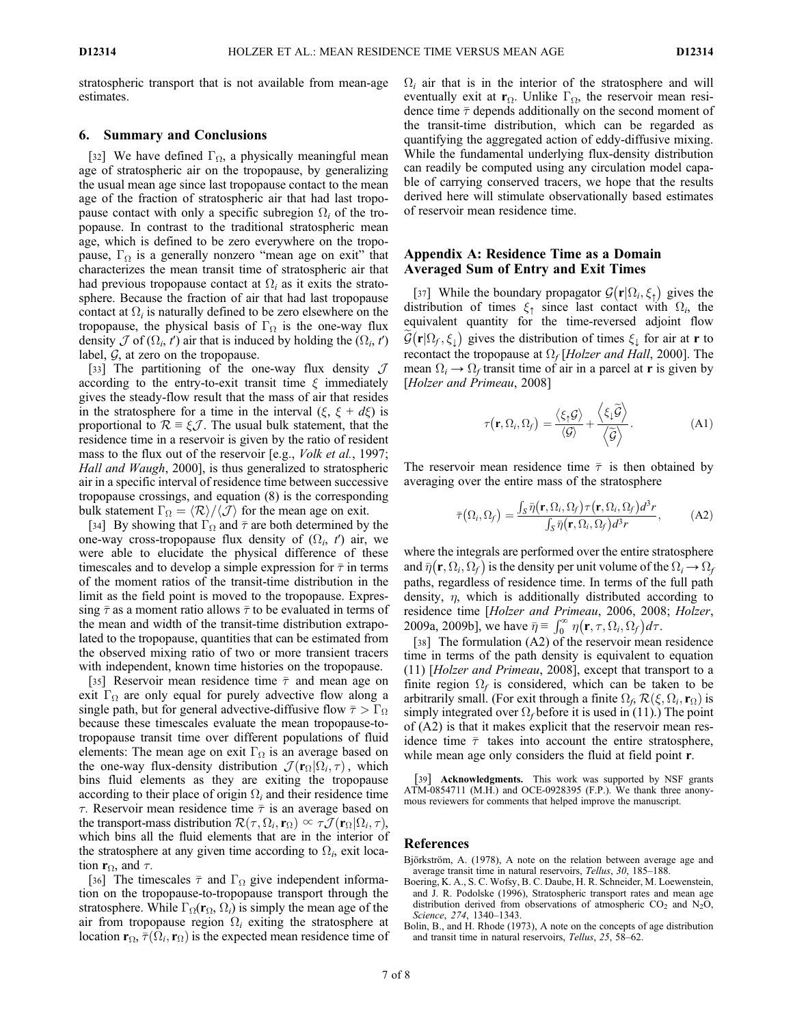stratospheric transport that is not available from mean-age estimates.

## 6. Summary and Conclusions

[32] We have defined  $\Gamma_{\Omega}$ , a physically meaningful mean age of stratospheric air on the tropopause, by generalizing the usual mean age since last tropopause contact to the mean age of the fraction of stratospheric air that had last tropopause contact with only a specific subregion  $\Omega_i$  of the tropopause. In contrast to the traditional stratospheric mean age, which is defined to be zero everywhere on the tropopause,  $\Gamma_{\Omega}$  is a generally nonzero "mean age on exit" that characterizes the mean transit time of stratospheric air that had previous tropopause contact at  $\Omega_i$  as it exits the stratosphere. Because the fraction of air that had last tropopause contact at  $\Omega_i$  is naturally defined to be zero elsewhere on the tropopause, the physical basis of  $\Gamma_{\Omega}$  is the one-way flux density  $\mathcal J$  of  $(\Omega_i, t')$  air that is induced by holding the  $(\Omega_i, t')$ label,  $G$ , at zero on the tropopause.

[33] The partitioning of the one-way flux density  $\mathcal J$ according to the entry-to-exit transit time  $\xi$  immediately gives the steady-flow result that the mass of air that resides in the stratosphere for a time in the interval  $(\xi, \xi + d\xi)$  is proportional to  $\mathcal{R} \equiv \xi \mathcal{J}$ . The usual bulk statement, that the residence time in a reservoir is given by the ratio of resident mass to the flux out of the reservoir [e.g., *Volk et al.*, 1997; Hall and Waugh, 2000], is thus generalized to stratospheric air in a specific interval of residence time between successive tropopause crossings, and equation (8) is the corresponding bulk statement  $\Gamma_{\Omega} = \langle \mathcal{R} \rangle / \langle \mathcal{J} \rangle$  for the mean age on exit.

[34] By showing that  $\Gamma_{\Omega}$  and  $\bar{\tau}$  are both determined by the one-way cross-tropopause flux density of  $(\Omega_i, t')$  air, we were able to elucidate the physical difference of these timescales and to develop a simple expression for  $\bar{\tau}$  in terms of the moment ratios of the transit-time distribution in the limit as the field point is moved to the tropopause. Expressing  $\bar{\tau}$  as a moment ratio allows  $\bar{\tau}$  to be evaluated in terms of the mean and width of the transit-time distribution extrapolated to the tropopause, quantities that can be estimated from the observed mixing ratio of two or more transient tracers with independent, known time histories on the tropopause.

[35] Reservoir mean residence time  $\bar{\tau}$  and mean age on exit  $\Gamma_{\Omega}$  are only equal for purely advective flow along a single path, but for general advective-diffusive flow  $\bar{\tau} > \Gamma_{\Omega}$ because these timescales evaluate the mean tropopause-totropopause transit time over different populations of fluid elements: The mean age on exit  $\Gamma_{\Omega}$  is an average based on the one-way flux-density distribution  $\mathcal{J}(\mathbf{r}_{\Omega}|\Omega_i, \tau)$ , which bins fluid elements as they are exiting the tropopause according to their place of origin  $\Omega_i$  and their residence time  $\tau$ . Reservoir mean residence time  $\bar{\tau}$  is an average based on the transport-mass distribution  $\mathcal{R}(\tau, \Omega_i, \mathbf{r}_{\Omega}) \propto \tau \mathcal{J}(\mathbf{r}_{\Omega} | \Omega_i, \tau),$ which bins all the fluid elements that are in the interior of the stratosphere at any given time according to  $\Omega_i$ , exit location  $\mathbf{r}_{\Omega}$ , and  $\tau$ .

[36] The timescales  $\bar{\tau}$  and  $\Gamma_{\Omega}$  give independent information on the tropopause-to-tropopause transport through the stratosphere. While  $\Gamma_{\Omega}(\mathbf{r}_{\Omega}, \Omega_i)$  is simply the mean age of the air from tropopause region  $\Omega_i$  exiting the stratosphere at location  $\mathbf{r}_{\Omega}$ ,  $\bar{\tau}(\Omega_i, \mathbf{r}_{\Omega})$  is the expected mean residence time of  $\Omega_i$  air that is in the interior of the stratosphere and will eventually exit at  $\mathbf{r}_{\Omega}$ . Unlike  $\Gamma_{\Omega}$ , the reservoir mean residence time  $\bar{\tau}$  depends additionally on the second moment of the transit-time distribution, which can be regarded as quantifying the aggregated action of eddy-diffusive mixing. While the fundamental underlying flux-density distribution can readily be computed using any circulation model capable of carrying conserved tracers, we hope that the results derived here will stimulate observationally based estimates of reservoir mean residence time.

# Appendix A: Residence Time as a Domain Averaged Sum of Entry and Exit Times

[37] While the boundary propagator  $\mathcal{G}(\mathbf{r}|\Omega_i,\xi)$  gives the distribution of times  $\xi_{\uparrow}$  since last contact with  $\Omega_i$ , the equivalent quantity for the time-reversed adjoint flow  $\widetilde{\mathcal{G}}(\mathbf{r}|\Omega_f, \xi_\downarrow)$  gives the distribution of times  $\xi_\downarrow$  for air at r to recontact the tropopause at  $\Omega_f$  [Holzer and Hall, 2000]. The mean  $\Omega_i \rightarrow \Omega_f$  transit time of air in a parcel at **r** is given by [Holzer and Primeau, 2008]

$$
\tau(\mathbf{r}, \Omega_i, \Omega_f) = \frac{\langle \xi_1 \mathcal{G} \rangle}{\langle \mathcal{G} \rangle} + \frac{\langle \xi_i \widetilde{\mathcal{G}} \rangle}{\langle \widetilde{\mathcal{G}} \rangle}.
$$
 (A1)

The reservoir mean residence time  $\bar{\tau}$  is then obtained by averaging over the entire mass of the stratosphere

$$
\bar{\tau}(\Omega_i, \Omega_f) = \frac{\int_S \bar{\eta}(\mathbf{r}, \Omega_i, \Omega_f) \tau(\mathbf{r}, \Omega_i, \Omega_f) d^3 r}{\int_S \bar{\eta}(\mathbf{r}, \Omega_i, \Omega_f) d^3 r}, \quad (A2)
$$

where the integrals are performed over the entire stratosphere and  $\bar{\eta}(\mathbf{r}, \Omega_i, \Omega_f)$  is the density per unit volume of the  $\Omega_i \rightarrow \Omega_f$ paths, regardless of residence time. In terms of the full path density,  $\eta$ , which is additionally distributed according to residence time [Holzer and Primeau, 2006, 2008; Holzer, 2009a, 2009b], we have  $\bar{\eta} \equiv \int_0^{\infty} \eta(\mathbf{r}, \tau, \Omega_i, \Omega_f) d\tau$ .

[38] The formulation (A2) of the reservoir mean residence time in terms of the path density is equivalent to equation (11) [Holzer and Primeau, 2008], except that transport to a finite region  $\Omega_f$  is considered, which can be taken to be arbitrarily small. (For exit through a finite  $\Omega_f$ ,  $\mathcal{R}(\xi, \Omega_i, \mathbf{r}_{\Omega})$  is simply integrated over  $\Omega_f$  before it is used in (11).) The point of (A2) is that it makes explicit that the reservoir mean residence time  $\bar{\tau}$  takes into account the entire stratosphere, while mean age only considers the fluid at field point **r**.

[39] **Acknowledgments.** This work was supported by NSF grants ATM-0854711 (M.H.) and OCE-0928395 (F.P.). We thank three anonymous reviewers for comments that helped improve the manuscript.

#### References

- Björkström, A. (1978), A note on the relation between average age and average transit time in natural reservoirs, Tellus, 30, 185–188.
- Boering, K. A., S. C. Wofsy, B. C. Daube, H. R. Schneider, M. Loewenstein, and J. R. Podolske (1996), Stratospheric transport rates and mean age distribution derived from observations of atmospheric  $CO<sub>2</sub>$  and  $N<sub>2</sub>O$ , Science, 274, 1340–1343.
- Bolin, B., and H. Rhode (1973), A note on the concepts of age distribution and transit time in natural reservoirs, Tellus, 25, 58–62.